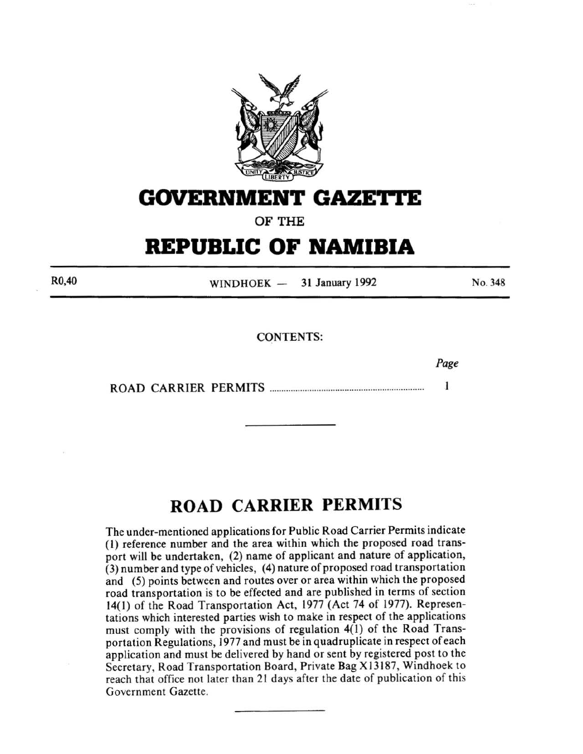

# **GOVERNMENT GAZETTE**

**OF THE** 

# **REPUBLIC OF NAMIBIA**

WINDHOEK  $-$  31 January 1992

No. 348

CONTENTS:

ROAD CARRIER PERMITS ................................................................ .. 1

# **ROAD CARRIER PERMITS**

The under-mentioned applications for Public Road Carrier Permits indicate (I) reference number and the area within which the proposed road transport will be undertaken, (2) name of applicant and nature of application, (3) number and type of vehicles, ( 4) nature of proposed road transportation and (5) points between and routes over or area within which the proposed road transportation is to be effected and are published in terms of section 14(1) of the Road Transportation Act, 1977 (Act 74 of 1977). Representations which interested parties wish to make in respect of the applications must comply with the provisions of regulation 4(1) of the Road Transportation Regulations, 1977 and must be in quadruplicate in respect of each application and must be delivered by hand or sent by registered post to the Secretary, Road Transportation Board, Private Bag Xl3187, Windhoek to reach that office not later than 21 days after the date of publication of this Government Gazette.

R0,40

Page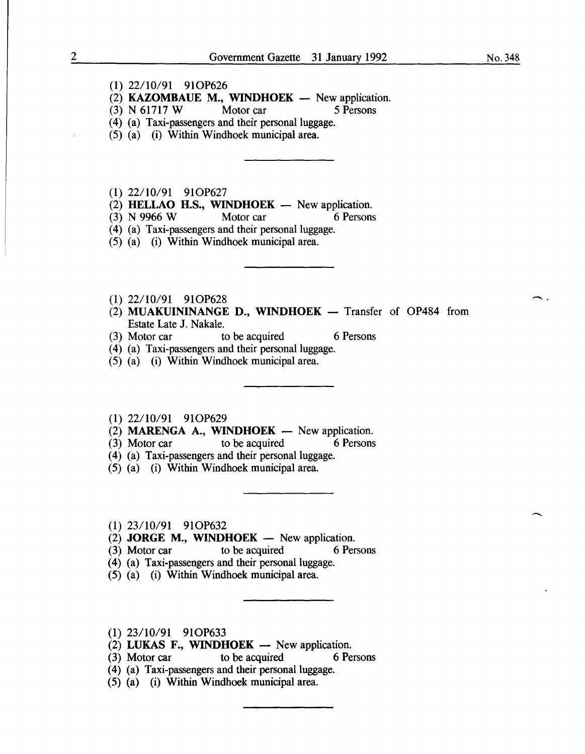- (1) 22/10/91 910P626
- (2) **KAZOMBAUE M., WINDHOEK** New application.<br>(3) N 61717 W Motor car 5 Persons
- (3) N 61717 W Motor car
- (4) (a) Taxi-passengers and their personal luggage.
- (5) (a) (i) Within Windhoek municipal area.
- (1) 22110/91 910P627
- (2) **HELLAO H.S., WINDHOEK** New application.<br>(3) N 9966 W Motor car 6 Persons
- (3) N 9966 W Motor car 6 Persons
- (4) (a) Taxi-passengers and their personal luggage.
- (5) (a) (i) Within Windhoek municipal area.
- (1) 22/10/91 910P628
- (2) MUAKUININANGE D., WINDHOEK  $-$  Transfer of OP484 from Estate Late J. Nakale.
- (3) Motor car to be acquired 6 Persons
- (4) (a) Taxi-passengers and their personal luggage.
- (5) (a) (i) Within Windhoek municipal area.
- (1) 22/10/91 910P629
- (2) MARENGA A., WINDHOEK New application.<br>
(3) Motor car to be acquired 6 Persons
- (3) Motor car to be acquired
- (4) (a) Taxi-passengers and their personal luggage.
- (5) (a) (i) Within Windhoek municipal area.
- (1) 23/10/91 910P632
- (2) JORGE M., WINDHOEK  $-$  New application.
- (3) Motor car to be acquired 6 Persons
- (4) (a) Taxi-passengers and their personal luggage.
- (5) (a) (i) Within Windhoek municipal area.
- (1) 23110/91 910P633
- (2) LUKAS F., WINDHOEK  $-$  New application.
- (3) Motor car to be acquired 6 Persons
- (4) (a) Taxi-passengers and their personal luggage.
- (5) (a) (i) Within Windhoek municipal area.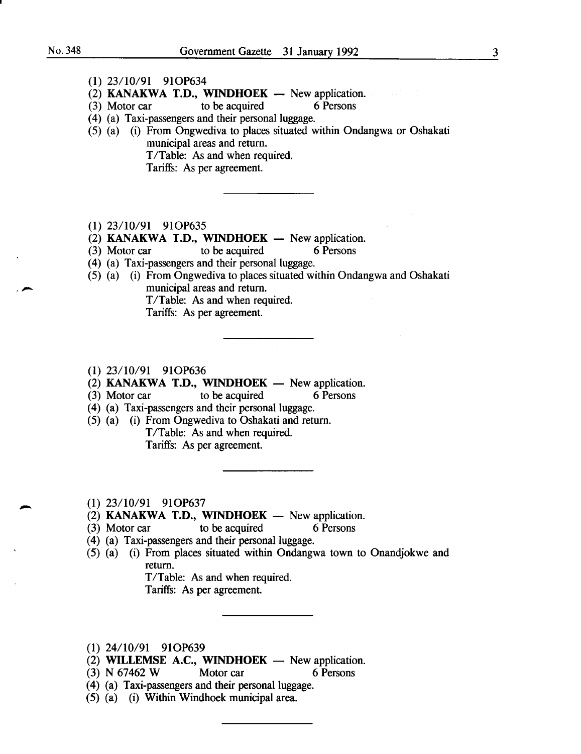- (1) 23/10/91 910P634
- $(2)$  KANAKWA T.D., WINDHOEK New application.
- (3) Motor car to be acquired 6 Persons
- (4) (a) Taxi-passengers and their personal luggage.
- (5) (a) (i) From Ongwediva to places situated within Ondangwa or Oshakati municipal areas and return. T/Table: As and when required.
	-
	- Tariffs: As per agreement.
- (1) 23/10/91 910P635
- (2) KANAKWA T.D., WINDHOEK  $-$  New application.<br>(3) Motor car to be acquired 6 Persons
- $(3)$  Motor car to be acquired
- (4) (a) Taxi-passengers and their personal luggage.
- $(5)$  (a) (i) From Ongwediva to places situated within Ondangwa and Oshakati municipal areas and return.

T/Table: As and when required.

Tariffs: As per agreement.

(1) 23/10/91 910P636

 $(2)$  KANAKWA T.D., WINDHOEK - New application.

- (3) Motor car to be acquired 6 Persons
- (4) (a) Taxi-passengers and their personal luggage.
- (5) (a) (i) From Ongwediva to Oshakati and return.
	- T/Table: As and when required. Tariffs: As per agreement.
- (1) 23/10/91 910P637
- (2) **KANAKWA T.D., WINDHOEK** New application.<br>(3) Motor car to be acquired 6 Persons
- (3) Motor car to be acquired
- (4) (a) Taxi-passengers and their personal luggage.
- (5) (a) (i) From places situated within Ondangwa town to Onandjokwe and return.

T/Table: As and when required.

- Tariffs: As per agreement.
- (1) 24/10/91 910P639
- (2) WILLEMSE A.C., WINDHOEK  $-$  New application.
- (3) N 67462 W Motor car 6 Persons
- ( 4) (a) Taxi-passengers and their personal luggage.
- (5) (a) (i) Within Windhoek municipal area.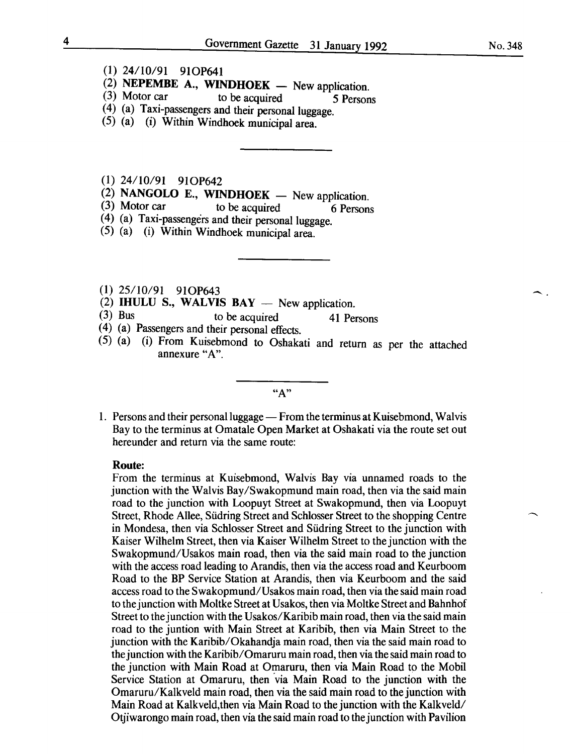- (1) 24/10/91 910P641
- (2) **NEPEMBE A., WINDHOEK** New application.<br>(3) Motor car to be acquired 5 Person
- (3) Motor car to be acquired *5* Persons
- (4) (a) Taxi-passengers and their personal luggage.
- (5) (a) (i) Within Windhoek municipal area.
- (1) 24/10/91 910P642
- (2) NANGOLO E., WINDHOEK New application.<br>(3) Motor car to be acquired 6 Person
- to be acquired 6 Persons
- (4) (a) Taxi-passengers and their personal luggage.
- (5) (a) (i) Within Windhoek municipal area.
- (1) 25/10/91 910P643
- $(2)$  IHULU S., WALVIS BAY  $-$  New application.
- (3) Bus to be acquired  $41$  Persons
- ( 4) (a) Passengers and their personal effects.
- (5) (a) (i) From Kuisebmond to Oshakati and return as per the attached annexure "A".
	- $``A"$
- 1. Persons and their personal luggage From the terminus at Kuisebmond, Walvis Bay to the terminus at Omatale Open Market at Oshakati via the route set out hereunder and return via the same route:

#### Route:

From the terminus at Kuisebmond, Walvis Bay via unnamed roads to the junction with the Walvis Bay/Swakopmund main road, then via the said main road to the junction with Loopuyt Street at Swakopmund, then via Loopuyt Street, Rhode Allee, Siidring Street and Schlosser Street to the shopping Centre in Mondesa, then via Schlosser Street and Siidring Street to the junction with Kaiser Wilhelm Street, then via Kaiser Wilhelm Street to the junction with the Swakopmund/Usakos main road, then via the said main road to the junction with the access road leading to Arandis, then via the access road and Keurboom Road to the BP Service Station at Arandis, then via Keurboom and the said access road to the Swakopmund/Usakos main road, then via the said main road to the junction with Moltke Street at Usakos, then via Moltke Street and Bahnhof Street to the junction with the Usakos/Karibib main road, then via the said main road to the juntion with Main Street at Karibib, then via Main Street to the junction with the Karibib/Okahandja main road, then via the said main road to the junction with the Karibib/Omaruru main road, then via the said main road to the junction with Main Road at Omaruru, then via Main Road to the Mobil Service Station at Omaruru, then via Main Road to the junction with the Omaruru/Kalkveld main road, then via the said main road to the junction with Main Road at Kalkveld,then via Main Road to the junction with the Kalkveld/ Otjiwarongo main road, then via the said main road to the junction with Pavilion

-.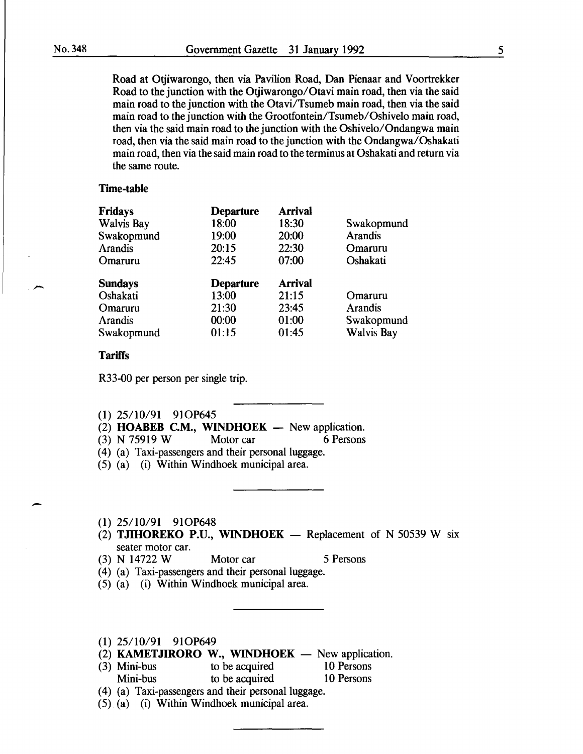Road at Otjiwarongo, then via Pavilion Road, Dan Pienaar and Voortrekker Road to the junction with the Otjiwarongo/Otavi main road, then via the said main road to the junction with the Otavi/Tsumeb main road, then via the said main road to the junction with the Grootfontein/Tsumeb/Oshivelo main road, then via the said main road to the junction with the Oshivelo/Ondangwa main road, then via the said main road to the junction with the Ondangwa/Oshakati main road, then via the said main road to the terminus at Oshakati and return via the same route.

### Time-table

| <b>Fridays</b>    | <b>Departure</b> | <b>Arrival</b> |                |
|-------------------|------------------|----------------|----------------|
| <b>Walvis Bay</b> | 18:00            | 18:30          | Swakopmund     |
| Swakopmund        | 19:00            | 20:00          | <b>Arandis</b> |
| Arandis           | 20:15            | 22:30          | Omaruru        |
| Omaruru           | 22:45            | 07:00          | Oshakati       |
|                   |                  |                |                |
| <b>Sundays</b>    | <b>Departure</b> | <b>Arrival</b> |                |
| Oshakati          | 13:00            | 21:15          | Omaruru        |
| Omaruru           | 21:30            | 23:45          | Arandis        |
| Arandis           | 00:00            | 01:00          | Swakopmund     |

#### **Tariffs**

-

R33-00 per person per single trip.

| $(1)$ 25/10/91 | 91OP645 |
|----------------|---------|
|----------------|---------|

- (2) HOABEB C.M., WINDHOEK  $-$  New application.
- (3) N 75919 W Motor car 6 Persons
- (4) (a) Taxi-passengers and their personal luggage.
- (5) (a) (i) Within Windhoek municipal area.
- (1) 25/10/91 910P648
- (2) TJIHOREKO P.U., WINDHOEK  $-$  Replacement of N 50539 W six seater motor car.
- (3) N 14722 W Motor car 5 Persons
- (4) (a) Taxi-passengers and their personal luggage.
- (5) (a) (i) Within Windhoek municipal area.
- (1) 25/10/91 910P649
- (2) KAMETJIRORO W., WINDHOEK  $-$  New application.
- (3) Mini-bus to be acquired 10 Persons Mini-bus to be acquired 10 Persons
- (4) (a) Taxi-passengers and their personal luggage.
- (5). (a) (i) Within Windhoek municipal area.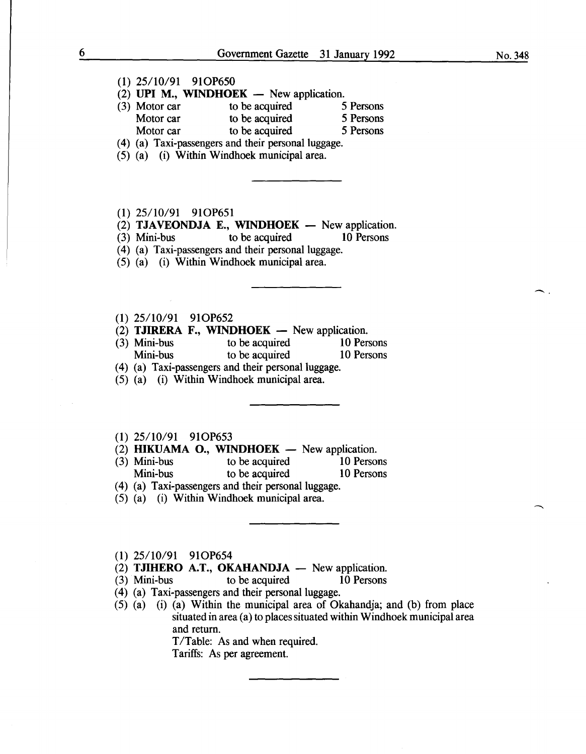### (1) 25/10/91 910P650

 $(2)$  UPI M., WINDHOEK - New application.

| (3) Motor car | to be acquired                                                 | 5 Persons |
|---------------|----------------------------------------------------------------|-----------|
| Motor car     | to be acquired                                                 | 5 Persons |
| Motor car     | to be acquired                                                 | 5 Persons |
|               | $(4)$ $(4)$ T <sub>ax</sub> message and their nonconal lungers |           |

(4) (a) Taxi-passengers and their personal luggage.

(5) (a) (i) Within Windhoek municipal area.

#### (1) 25/10/91 91OP651

# (2) **TJAVEONDJA E., WINDHOEK** - New application.<br>(3) Mini-bus to be acquired 10 Persons

 $(3)$  Mini-bus to be acquired

- (4) (a) Taxi-passengers and their personal luggage.
- (5) (a) (i) Within Windhoek municipal area.

### (1) 25/10/91 910P652

- 
- (2) **TJIRERA F., WINDHOEK** New application.<br>(3) Mini-bus to be acquired 10 Persons Mini-bus to be acquired 10 Persons<br>
Mini-bus to be acquired 10 Persons to be acquired
- (4) (a) Taxi-passengers and their personal luggage.
- (5) (a) (i) Within Windhoek municipal area.

### (1) 25/10/91 910P653

- 
- (2) **HIKUAMA O., WINDHOEK** New application.<br>(3) Mini-bus to be acquired 10 Persons to be acquired Mini-bus to be acquired 10 Persons (4) (a) Taxi-passengers and their personal luggage.
- 
- (5) (a) (i) Within Windhoek municipal area.
- (1) 25/10/91 910P654
- $(2)$  TJIHERO A.T., OKAHANDJA New application.
- (3) Mini-bus to be acquired 10 Persons
- (4) (a) Taxi-passengers and their personal luggage.
- (5) (a) (i) (a) Within the municipal area of Okahandja; and (b) from place situated in area (a) to places situated within Windhoek municipal area and return.

T/Table: As and when required.

Tariffs: As per agreement.

-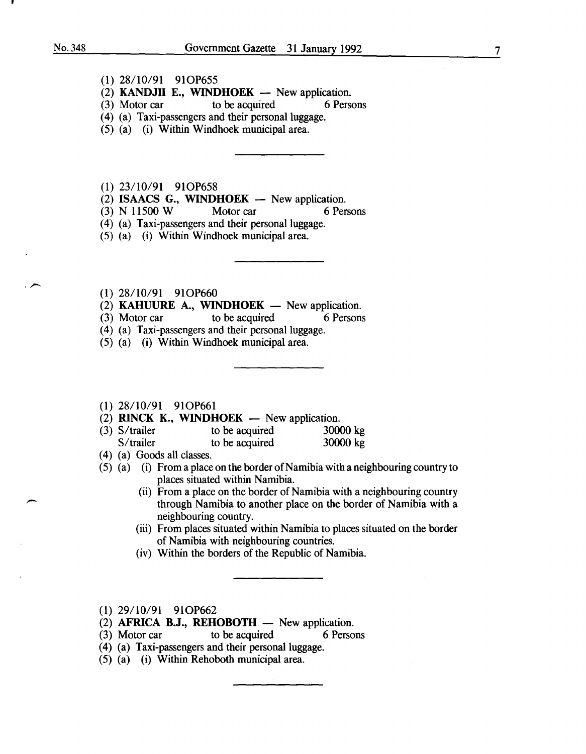$\overline{\phantom{a}}$ 

-

- (1) 28/10/91 910P655
- (2) **KANDJII E., WINDHOEK** New application.<br>(3) Motor car to be acquired 6 Persons
- to be acquired
- ( 4) (a) Taxi-passengers and their personal luggage.
- (5) (a) (i) Within Windhoek municipal area.
- (1) 23/10/91 910P658
- (2) ISAACS G., WINDHOEK  $-$  New application.
- (3) N 11500 W Motor car 6 Persons
- (4) (a) Taxi-passengers and their personal luggage.
- (5) (a) (i) Within Windhoek municipal area .
- (1) 28/10/91 910P660
- (2) KAHUURE A., WINDHOEK  $-$  New application.
- (3) Motor car to be acquired 6 Persons
- (4) (a) Taxi-passengers and their personal luggage.
- (5) (a) (i) Within Windhoek municipal area.

#### (1) 28/10/91 91OP661

- (2) RINCK K., WINDHOEK  $-$  New application.
- (3) S/trailer to be acquired 30000 kg
- S/trailer to be acquired 30000 kg
- ( 4) (a) Goods all classes.
- (5) (a) (i) From a place on the border of Namibia with a neighbouring country to places situated within Namibia.
	- (ii) From a place on the border of Namibia with a neighbouring country through Namibia to another place on the border of Namibia with a neighbouring country.
	- (iii) From places situated within Namibia to places situated on the border of Namibia with neighbouring countries.
	- (iv) Within the borders of the Republic of Namibia.
- (1) 29/10/91 910P662
- (2) AFRICA B.J., REHOBOTH  $-$  New application.
- (3) Motor car to be acquired 6 Persons
- (4) (a) Taxi-passengers and their personal luggage.
- (5) (a) (i) Within Rehoboth municipal area.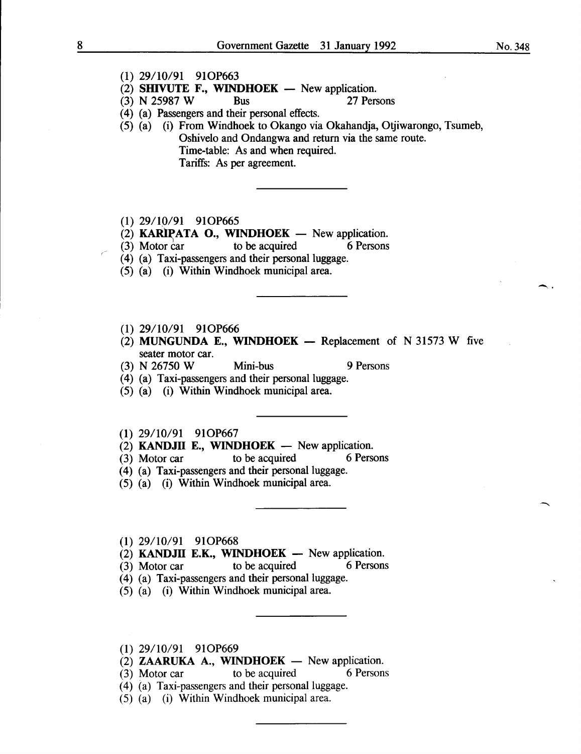$\hat{\phantom{a}}$ 

- (1) 29/10/91 910P663
- (2) SHIVUTE F., WINDHOEK  $-$  New application.
- (3) N 25987 W Bus 27 Persons
- ( 4) (a) Passengers and their personal effects.
- (5) (a) (i) From Windhoek to Okango via Okahandja, Otjiwarongo, Tsumeb, Oshivelo and Ondangwa and return via the same route. Time-table: As and when required. Tariffs: As per agreement.
- (1) 29/10/91 910P665
- (2) **KARIPATA O., WINDHOEK** New application.<br>(3) Motor car to be acquired 6 Persons
- $(3)$  Motor car
- (4) (a) Taxi-passengers and their personal luggage.
- (5) (a) (i) Within Windhoek municipal area.
- (1) 29/10/91 910P666
- (2) MUNGUNDA E., WINDHOEK  $-$  Replacement of N 31573 W five seater motor car.
- (3) N 26750 W Mini-bus 9 Persons
- (4) (a) Taxi-passengers and their personal luggage.
- (5) (a) (i) Within Windhoek municipal area.
- (1) 29/10/91 910P667
- (2) KANDJII E., WINDHOEK  $-$  New application.
- (3) Motor car to be acquired 6 Persons
- (4) (a) Taxi-passengers and their personal luggage.
- (5) (a) (i) Within Windhoek municipal area.
- (1) 29/10/91 910P668
- (2) KANDJII E.K., WINDHOEK New application.<br>(3) Motor car to be acquired 6 Persons
- $(3)$  Motor car to be acquired
- (4) (a) Taxi-passengers and their personal luggage.
- (5) (a) (i) Within Windhoek municipal area.

#### (1) 29/10/91 910P669

- (2) **ZAARUKA A., WINDHOEK**  $-$  New application.
- (3) Motor car to be acquired 6 Persons
- (4) (a) Taxi-passengers and their personal luggage.
- (5) (a) (i) Within Windhoek municipal area.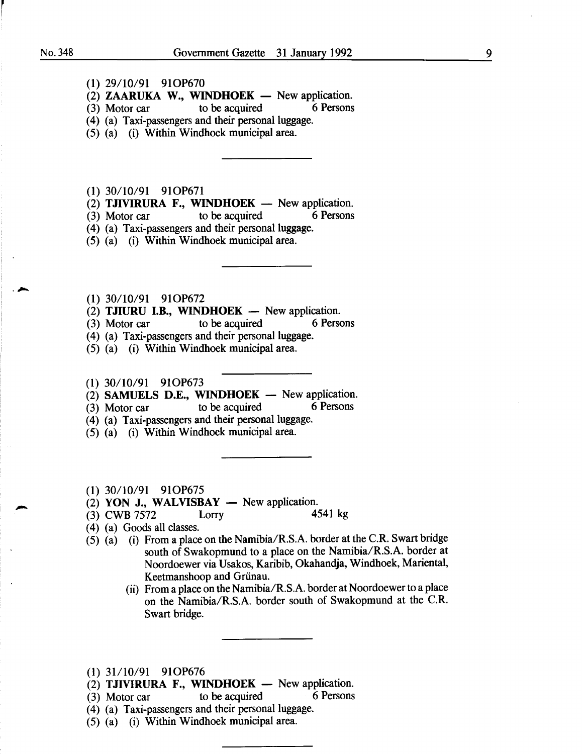- (1) 29/10/91 910P670
- (2) **ZAARUKA W., WINDHOEK** New application.<br>(3) Motor car to be acquired 6 Persons
- $(3)$  Motor car to be acquired
- (4) (a) Taxi-passengers and their personal luggage.
- (5) (a) (i) Within Windhoek municipal area.
- (1) 30/10/91 910P671
- (2) TJIVIRURA F., WINDHOEK  $-$  New application.
- (3) Motor car to be acquired 6 Persons
- (4) (a) Taxi-passengers and their personal luggage.
- (5) (a) (i) Within Windhoek municipal area.
- (1) 30/10/91 910P672
- (2) **TJIURU I.B., WINDHOEK** New application.<br>(3) Motor car to be acquired 6 Persons
- $(3)$  Motor car to be acquired
- (4) (a) Taxi-passengers and their personal luggage.
- (5) (a) (i) Within Windhoek municipal area.
- (1) 30/10/91 910P673
- (2) SAMUELS D.E., WINDHOEK  $-$  New application.<br>(3) Motor car to be acquired 6 Persons
- $(3)$  Motor car to be acquired
- (4) (a) Taxi-passengers and their personal luggage.
- (5) (a) (i) Within Windhoek municipal area.
- (1) 30/10/91 910P675
- $(2)$  YON J., WALVISBAY  $-$  New application.
- (3) CWB 7572 Lorry 4541 kg
- ( 4) (a) Goods all classes.
- (5) (a) (i) From a place on the Namibia/R.S.A. border at the C.R. Swart bridge south of Swakopmund to a place on the Namibia/R.S.A. border at Noordoewer via Usakos, Karibib, Okahandja, Windhoek, Mariental, Keetmanshoop and Griinau.
	- (ii) From a place on the Namibia/R.S.A. border at Noordoewer to a place on the Namibia/R.S.A. border south of Swakopmund at the C.R. Swart bridge.
- (1) 31/10/91 910P676
- $(2)$  TJIVIRURA F., WINDHOEK New application.
- (3) Motor car to be acquired 6 Persons
- $(4)$  (a) Taxi-passengers and their personal luggage.
- (5) (a) (i) Within Windhoek municipal area.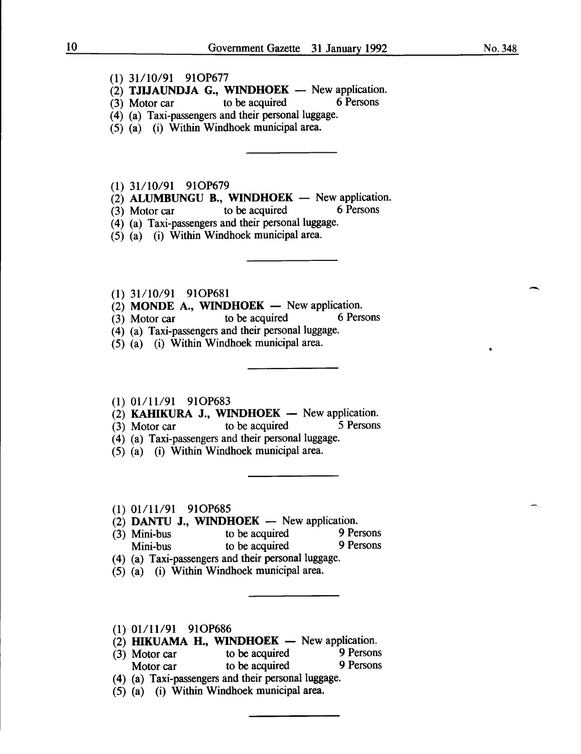# (1) 31/10/91 910P677

- (2) **TJIJAUNDJA G., WINDHOEK** New application.<br>(3) Motor car to be acquired 6 Persons
- $(3)$  Motor car
- (4) (a) Taxi-passengers and their personal luggage.
- (5) (a) (i) Within Windhoek municipal area.
- (1) 31110/91 910P679
- (2) ALUMBUNGU B., WINDHOEK  $-$  New application.<br>(3) Motor car to be acquired 6 Persons
- $(3)$  Motor car to be acquired

(4) (a) Taxi-passengers and their personal luggage.

- (5) (a) (i) Within Windhoek municipal area.
- (1) 31/10/91 91OP681
- (2) **MONDE A., WINDHOEK** New application.<br>(3) Motor car to be acquired 6 Persons
- $(3)$  Motor car to be acquired
- (4) (a) Taxi-passengers and their personal luggage.
- (5) (a) (i) Within Windhoek municipal area.

### $(1)$  01/11/91 91OP683

- $(2)$  KAHIKURA J., WINDHOEK New application.
- (3) Motor car to be acquired 5 Persons
- (4) (a) Taxi-passengers and their personal luggage.
- (5) (a) (i) Within Windhoek municipal area.

# (1) 01/11/91 91OP685

- (2) DANTU J., WINDHOEK New application.<br>(3) Mini-bus to be acquired 9 Persons
- (3) Mini-bus to be acquired 9 Persons Mini-bus to be acquired 9 Persons
- (4) (a) Taxi-passengers and their personal luggage.
- (5) (a) (i) Within Windhoek municipal area.

#### (1) 01/11/91 91OP686

- (2) HIKUAMA H., WINDHOEK New application.<br>(3) Motor car to be acquired 9 Persons
- $(3)$  Motor car to be acquired Motor car to be acquired 9 Persons
- (4) (a) Taxi-passengers and their personal luggage.
- (5) (a) (i) Within Windhoek municipal area.

 $\overline{\phantom{a}}$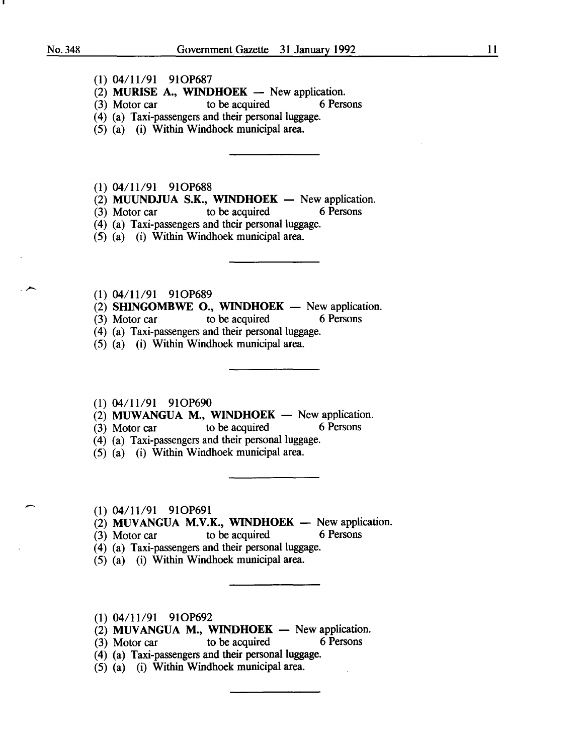- (1) 04/11/91 910P687
- (2) MURISE A., WINDHOEK New application.<br>(3) Motor car to be acquired 6 Persons
- $(3)$  Motor car
- ( 4) (a) Taxi-passengers and their personal luggage.
- (5) (a) (i) Within Windhoek municipal area.

(1) 04/11191 910P688

- (2) MUUNDJUA S.K., WINDHOEK New application.<br>(3) Motor car to be acquired 6 Persons
- $(3)$  Motor car to be acquired
- (4) (a) Taxi-passengers and their personal luggage.
- (5) (a) (i) Within Windhoek municipal area .
- (1) 04/11/91 91OP689
- (2) SHINGOMBWE O., WINDHOEK New application.<br>(3) Motor car to be acquired 6 Persons
- $(3)$  Motor car to be acquired
- (4) (a) Taxi-passengers and their personal luggage.
- (5) (a) (i) Within Windhoek municipal area.
- (1) 04/11/91 910P690
- (2) MUWANGUA M., WINDHOEK  $-$  New application.<br>(3) Motor car to be acquired 6 Persons
- $(3)$  Motor car to be acquired
- (4) (a) Taxi-passengers and their personal luggage.
- (5) (a) (i) Within Windhoek municipal area.
- (1) 04/11/91 910P691
- $(2)$  MUVANGUA M.V.K., WINDHOEK New application.
- (3) Motor car to be acquired 6 Persons
- (4) (a) Taxi-passengers and their personal luggage.
- (5) (a) (i) Within Windhoek municipal area.
- (1) 04/11/91 91OP692
- (2) MUVANGUA M., WINDHOEK New application.<br>(3) Motor car to be acquired 6 Persons
- $(3)$  Motor car to be acquired
- ( 4) (a) Taxi-passengers and their personal luggage.
- (5) (a) (i) Within Windhoek municipal area.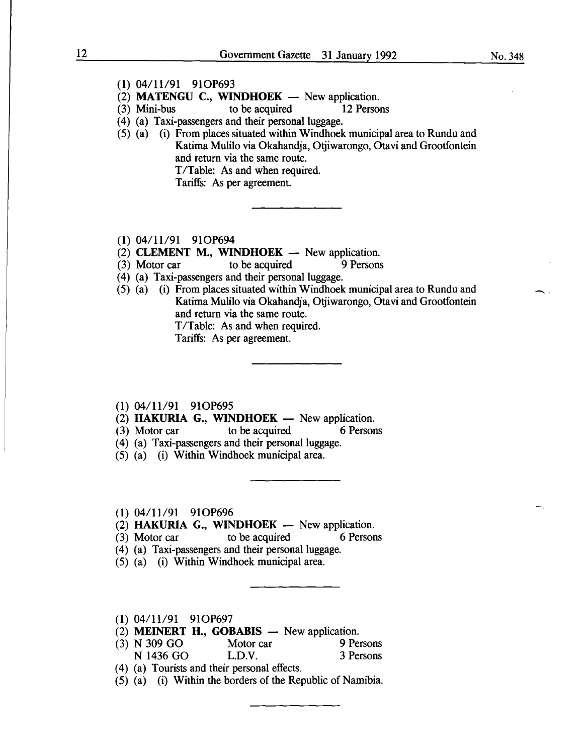- (1) 04/11/91 91OP693
- (2) **MATENGU C., WINDHOEK**  $-$  New application.<br>
(3) Mini-bus to be acquired 12 Persons
- to be acquired
- (4) (a) Taxi-passengers and their personal luggage.
- (5) (a) (i) From places situated within Windhoek municipal area to Rundu and Katima Mulilo via Okahandja, Otjiwarongo, Otavi and Grootfontein and return via the same route. T/Table: As and when required. Tariffs: As per agreement.
- (1) 04/11/91 910P694
- (2) CLEMENT M., WINDHOEK  $-$  New application.<br>(3) Motor car to be acquired 9 Persons
- $(3)$  Motor car to be acquired
- (4) (a) Taxi-passengers and their personal luggage.
- (5) (a) (i) From places situated within Windhoek municipal area to Rundu and Katima Mulilo via Okahandja, Otjiwarongo, Otavi and Grootfontein and return via the same route. T/Table: As and when required. Tariffs: As per agreement.

#### (1) 04/11/91 91OP695

- (2) **HAKURIA G., WINDHOEK** New application.<br>(3) Motor car to be acquired 6 Persons
- $(3)$  Motor car
- (4) (a) Taxi-passengers and their personal luggage.
- (5) (a) (i) Within Windhoek municipal area.

#### (1) 04/11/91 910P696

- (2) HAKURIA G., WINDHOEK  $-$  New application.
- (3) Motor car to be acquired 6 Persons
- (4) (a) Taxi-passengers and their personal luggage.
- (5) (a) (i) Within Windhoek municipal area.
- $(1)$  04/11/91 91OP697
- (2) **MEINERT H., GOBABIS**  $-$  New application.<br>(3) N 309 GO Motor car 9 Persons
- Motor car
- N 1436 GO L.D.V. 3 Persons
- ( 4) (a) Tourists and their personal effects.
- (5) (a) (i) Within the borders of the Republic of Namibia.

--